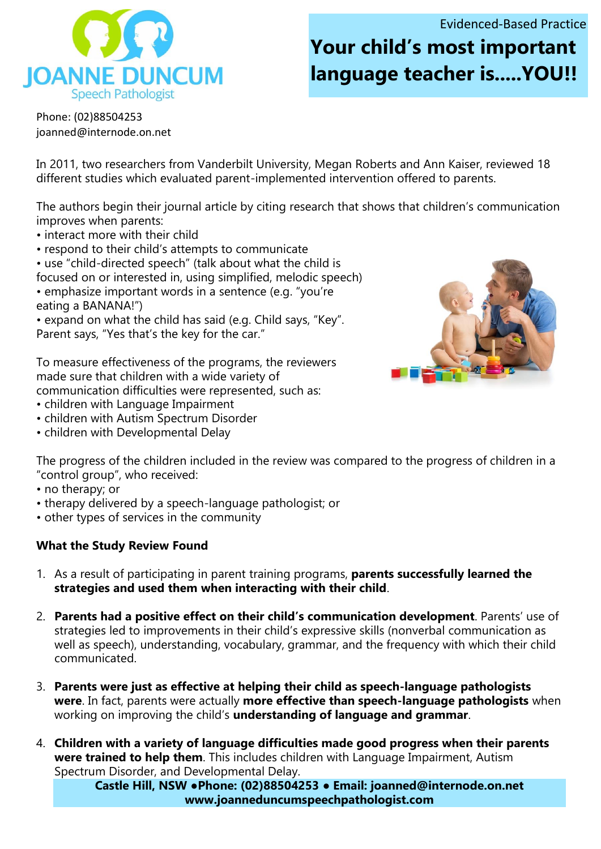Evidenced-Based Practice

**IOANNE DUNCUM Speech Pathologist** 

## **Your child's most important language teacher is.....YOU!!**

Phone: (02)88504253 joanned@internode.on.net

In 2011, two researchers from Vanderbilt University, Megan Roberts and Ann Kaiser, reviewed 18 different studies which evaluated parent-implemented intervention offered to parents.

The authors begin their journal article by citing research that shows that children's communication improves when parents:

- interact more with their child
- respond to their child's attempts to communicate
- use "child-directed speech" (talk about what the child is
- focused on or interested in, using simplified, melodic speech)
- emphasize important words in a sentence (e.g. "you're eating a BANANA!")
- expand on what the child has said (e.g. Child says, "Key". Parent says, "Yes that's the key for the car."

To measure effectiveness of the programs, the reviewers made sure that children with a wide variety of communication difficulties were represented, such as:

- children with Language Impairment
- children with Autism Spectrum Disorder
- children with Developmental Delay



The progress of the children included in the review was compared to the progress of children in a "control group", who received:

- no therapy; or
- therapy delivered by a speech-language pathologist; or
- other types of services in the community

## **What the Study Review Found**

- 1. As a result of participating in parent training programs, **parents successfully learned the strategies and used them when interacting with their child**.
- 2. **Parents had a positive effect on their child's communication development**. Parents' use of strategies led to improvements in their child's expressive skills (nonverbal communication as well as speech), understanding, vocabulary, grammar, and the frequency with which their child communicated.
- 3. **Parents were just as effective at helping their child as speech-language pathologists were**. In fact, parents were actually **more effective than speech-language pathologists** when working on improving the child's **understanding of language and grammar**.
- 4. **Children with a variety of language difficulties made good progress when their parents were trained to help them**. This includes children with Language Impairment, Autism Spectrum Disorder, and Developmental Delay.

**Castle Hill, NSW ●Phone: (02)88504253 ● Email: joanned@internode.on.net www.joanneduncumspeechpathologist.com**